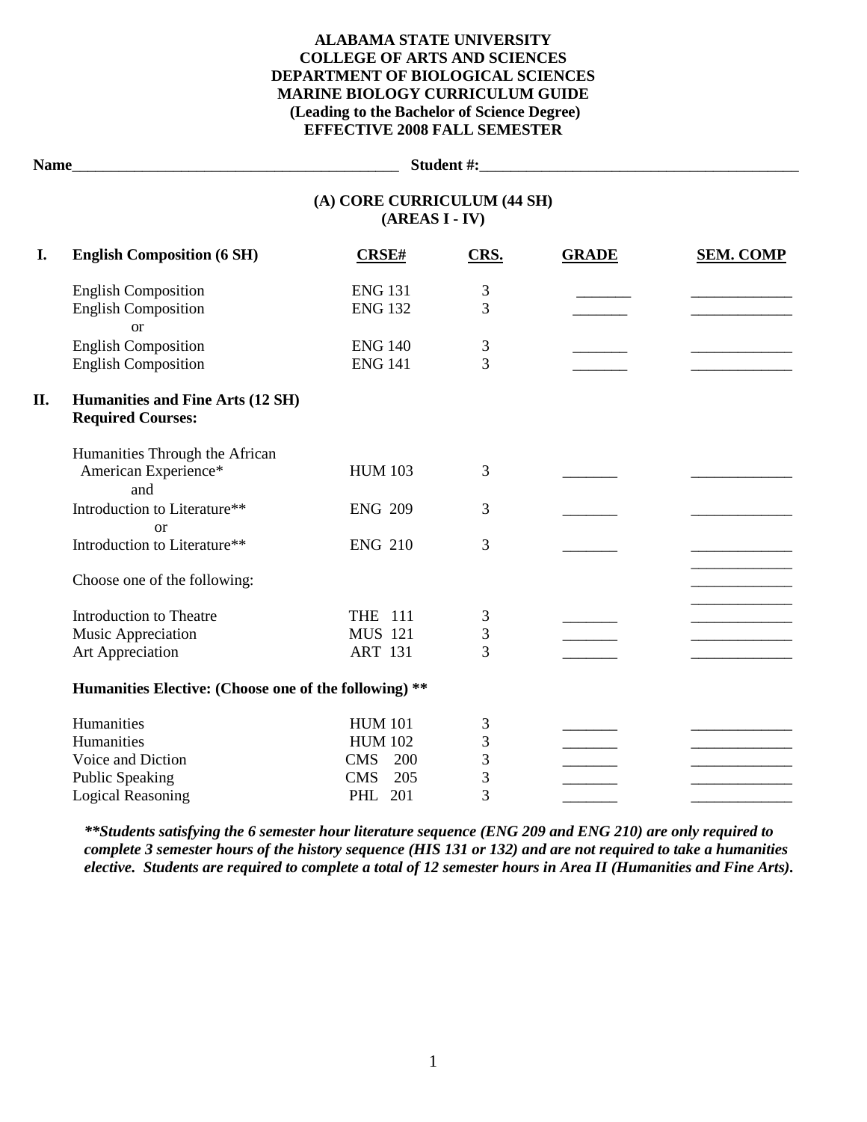## **ALABAMA STATE UNIVERSITY COLLEGE OF ARTS AND SCIENCES DEPARTMENT OF BIOLOGICAL SCIENCES MARINE BIOLOGY CURRICULUM GUIDE (Leading to the Bachelor of Science Degree) EFFECTIVE 2008 FALL SEMESTER**

|                                                                          |                                                                            |                                                                  |              | Student #: New York Product 2014 |
|--------------------------------------------------------------------------|----------------------------------------------------------------------------|------------------------------------------------------------------|--------------|----------------------------------|
|                                                                          | (A) CORE CURRICULUM (44 SH)<br>$(AREAS I - IV)$                            |                                                                  |              |                                  |
| <b>English Composition (6 SH)</b>                                        | <b>CRSE#</b>                                                               | CRS.                                                             | <b>GRADE</b> | <b>SEM. COMP</b>                 |
| <b>English Composition</b><br><b>English Composition</b>                 | <b>ENG 131</b><br><b>ENG 132</b>                                           | 3<br>3                                                           |              |                                  |
| <b>English Composition</b><br><b>English Composition</b>                 | <b>ENG 140</b><br><b>ENG 141</b>                                           | 3<br>3                                                           |              |                                  |
| Humanities and Fine Arts (12 SH)<br><b>Required Courses:</b>             |                                                                            |                                                                  |              |                                  |
| Humanities Through the African<br>American Experience*                   | <b>HUM 103</b>                                                             | 3                                                                |              |                                  |
| Introduction to Literature**                                             | <b>ENG 209</b>                                                             | 3                                                                |              |                                  |
| Introduction to Literature**                                             | <b>ENG 210</b>                                                             | 3                                                                |              |                                  |
| Choose one of the following:                                             |                                                                            |                                                                  |              |                                  |
| <b>Introduction to Theatre</b><br>Music Appreciation<br>Art Appreciation | <b>THE 111</b><br><b>MUS 121</b><br><b>ART 131</b>                         | 3<br>3<br>3                                                      |              |                                  |
|                                                                          |                                                                            |                                                                  |              |                                  |
| Humanities<br>Humanities<br>Voice and Diction<br><b>Public Speaking</b>  | <b>HUM 101</b><br><b>HUM 102</b><br><b>CMS</b><br>200<br><b>CMS</b><br>205 | 3<br>3<br>3<br>3                                                 |              |                                  |
|                                                                          | <b>or</b><br>and<br>$\alpha$<br><b>Logical Reasoning</b>                   | Humanities Elective: (Choose one of the following) **<br>PHL 201 | 3            |                                  |

*\*\*Students satisfying the 6 semester hour literature sequence (ENG 209 and ENG 210) are only required to complete 3 semester hours of the history sequence (HIS 131 or 132) and are not required to take a humanities elective. Students are required to complete a total of 12 semester hours in Area II (Humanities and Fine Arts).*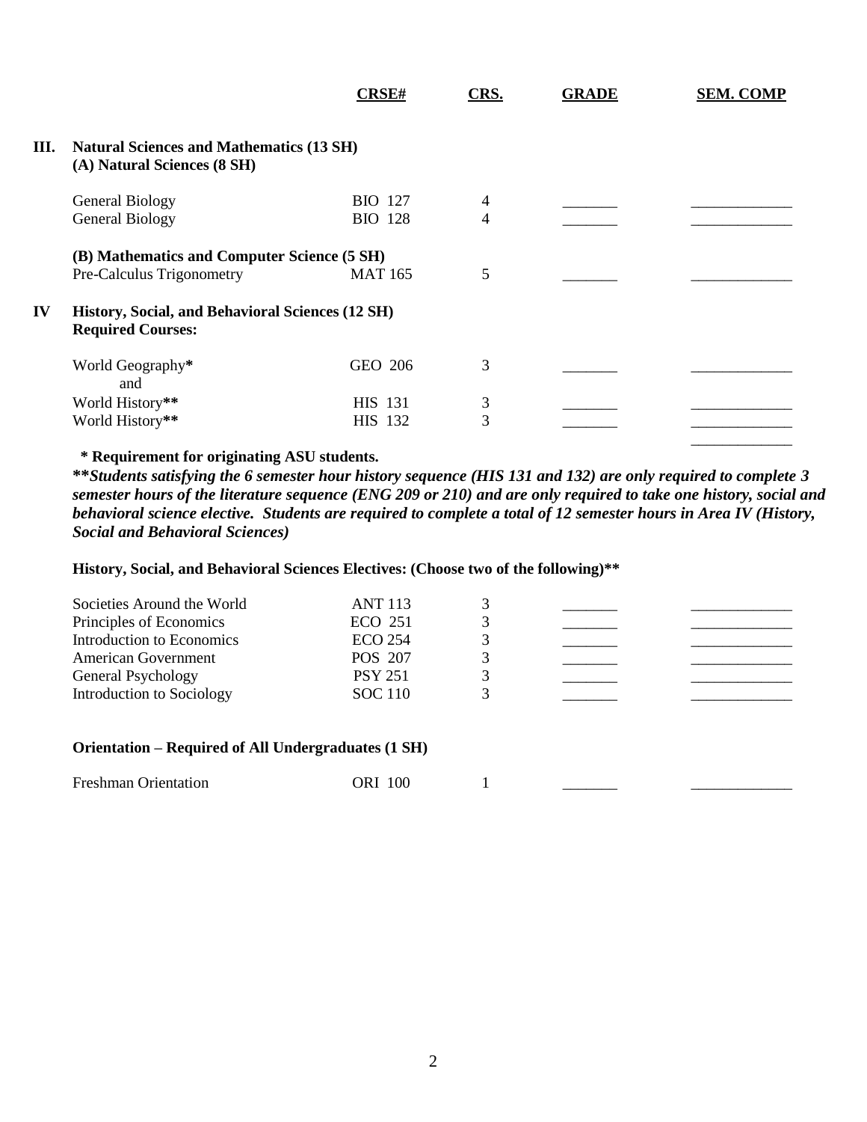|    |                                                                                | <b>CRSE#</b>   | CRS. | <b>GRADE</b> | <b>SEM. COMP</b> |
|----|--------------------------------------------------------------------------------|----------------|------|--------------|------------------|
| Ш. | <b>Natural Sciences and Mathematics (13 SH)</b><br>(A) Natural Sciences (8 SH) |                |      |              |                  |
|    | <b>General Biology</b>                                                         | <b>BIO</b> 127 | 4    |              |                  |
|    | <b>General Biology</b>                                                         | <b>BIO</b> 128 | 4    |              |                  |
|    | (B) Mathematics and Computer Science (5 SH)                                    |                |      |              |                  |
|    | Pre-Calculus Trigonometry                                                      | <b>MAT 165</b> | 5    |              |                  |
| IV | History, Social, and Behavioral Sciences (12 SH)<br><b>Required Courses:</b>   |                |      |              |                  |
|    | World Geography*<br>and                                                        | GEO 206        | 3    |              |                  |
|    | World History**                                                                | <b>HIS</b> 131 | 3    |              |                  |
|    | World History**                                                                | HIS 132        | 3    |              |                  |
|    |                                                                                |                |      |              |                  |

## **\* Requirement for originating ASU students.**

**\*\****Students satisfying the 6 semester hour history sequence (HIS 131 and 132) are only required to complete 3 semester hours of the literature sequence (ENG 209 or 210) and are only required to take one history, social and behavioral science elective. Students are required to complete a total of 12 semester hours in Area IV (History, Social and Behavioral Sciences)*

### **History, Social, and Behavioral Sciences Electives: (Choose two of the following)\*\***

| Societies Around the World<br>Principles of Economics | <b>ANT 113</b><br>ECO 251 |  |  |
|-------------------------------------------------------|---------------------------|--|--|
| Introduction to Economics                             | ECO 254                   |  |  |
| American Government                                   | POS 207                   |  |  |
| General Psychology                                    | <b>PSY 251</b>            |  |  |
| Introduction to Sociology                             | <b>SOC</b> 110            |  |  |

#### **Orientation – Required of All Undergraduates (1 SH)**

| <b>Freshman Orientation</b> | <b>ORI</b> 100 |  |  |  |
|-----------------------------|----------------|--|--|--|
|-----------------------------|----------------|--|--|--|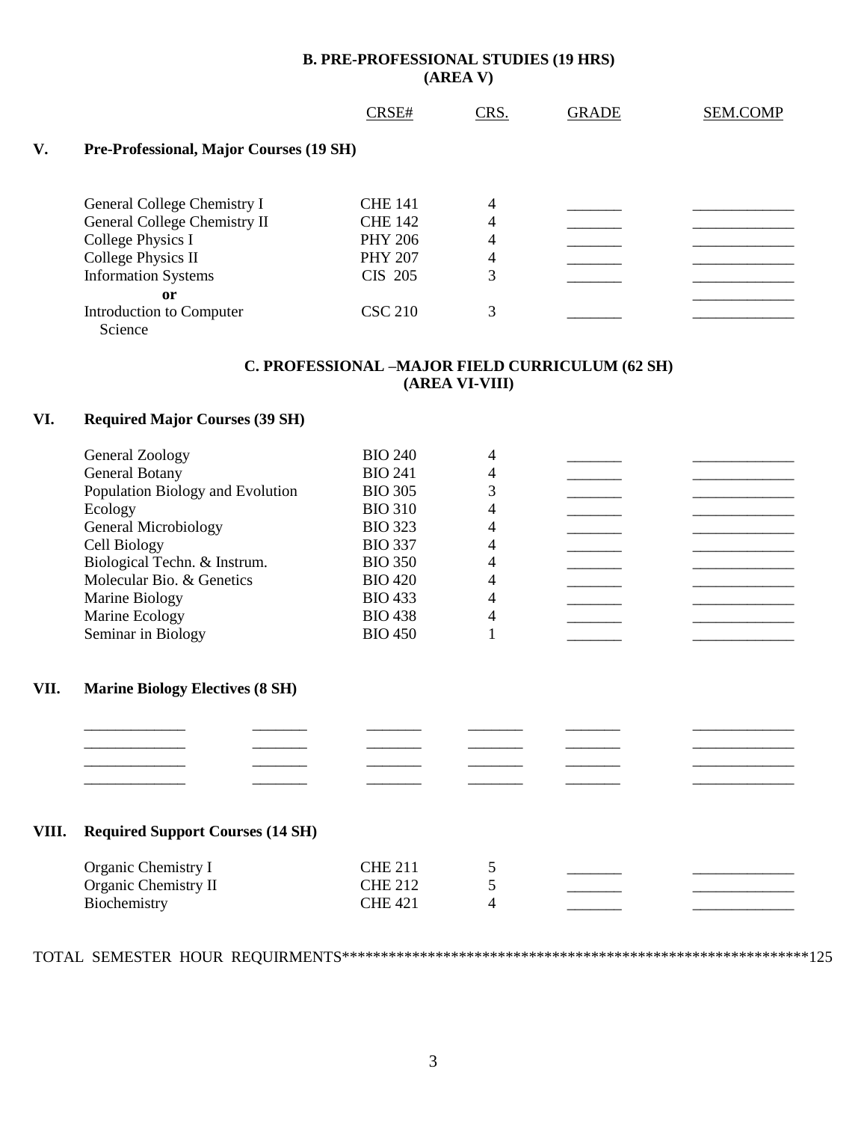# **B. PRE-PROFESSIONAL STUDIES (19 HRS) (AREA V)**

|                              | CRSE#          | CRS.                                    | <b>GRADE</b> | <b>SEM.COMP</b> |
|------------------------------|----------------|-----------------------------------------|--------------|-----------------|
|                              |                |                                         |              |                 |
| General College Chemistry I  | <b>CHE 141</b> | 4                                       |              |                 |
| General College Chemistry II | <b>CHE 142</b> | 4                                       |              |                 |
| College Physics I            | <b>PHY 206</b> | 4                                       |              |                 |
| College Physics II           | <b>PHY 207</b> | 4                                       |              |                 |
| <b>Information Systems</b>   | CIS 205        | 3                                       |              |                 |
| <sub>or</sub>                |                |                                         |              |                 |
| Introduction to Computer     | <b>CSC 210</b> | 3                                       |              |                 |
|                              |                |                                         |              |                 |
|                              | Science        | Pre-Professional, Major Courses (19 SH) |              |                 |

## **C. PROFESSIONAL –MAJOR FIELD CURRICULUM (62 SH) (AREA VI-VIII)**

### **VI. Required Major Courses (39 SH)**

| <b>BIO 240</b> |  |  |
|----------------|--|--|
| <b>BIO 241</b> |  |  |
| <b>BIO 305</b> |  |  |
| <b>BIO 310</b> |  |  |
| <b>BIO 323</b> |  |  |
| <b>BIO 337</b> |  |  |
| <b>BIO 350</b> |  |  |
| <b>BIO 420</b> |  |  |
| <b>BIO 433</b> |  |  |
| <b>BIO 438</b> |  |  |
| <b>BIO 450</b> |  |  |
|                |  |  |

## **VII. Marine Biology Electives (8 SH)**

#### **VIII. Required Support Courses (14 SH)**

| Organic Chemistry I  | <b>CHE 211</b> |  |  |
|----------------------|----------------|--|--|
| Organic Chemistry II | <b>CHE 212</b> |  |  |
| Biochemistry         | CHE 421        |  |  |

\_\_\_\_\_\_\_\_\_\_\_\_\_ \_\_\_\_\_\_\_ \_\_\_\_\_\_\_ \_\_\_\_\_\_\_ \_\_\_\_\_\_\_ \_\_\_\_\_\_\_\_\_\_\_\_\_ \_\_\_\_\_\_\_\_\_\_\_\_\_ \_\_\_\_\_\_\_ \_\_\_\_\_\_\_ \_\_\_\_\_\_\_ \_\_\_\_\_\_\_ \_\_\_\_\_\_\_\_\_\_\_\_\_ \_\_\_\_\_\_\_\_\_\_\_\_\_ \_\_\_\_\_\_\_ \_\_\_\_\_\_\_ \_\_\_\_\_\_\_ \_\_\_\_\_\_\_ \_\_\_\_\_\_\_\_\_\_\_\_\_ \_\_\_\_\_\_\_\_\_\_\_\_\_ \_\_\_\_\_\_\_ \_\_\_\_\_\_\_ \_\_\_\_\_\_\_ \_\_\_\_\_\_\_ \_\_\_\_\_\_\_\_\_\_\_\_\_

TOTAL SEMESTER HOUR REQUIRMENTS\*\*\*\*\*\*\*\*\*\*\*\*\*\*\*\*\*\*\*\*\*\*\*\*\*\*\*\*\*\*\*\*\*\*\*\*\*\*\*\*\*\*\*\*\*\*\*\*\*\*\*\*\*\*\*\*\*\*\*\*125